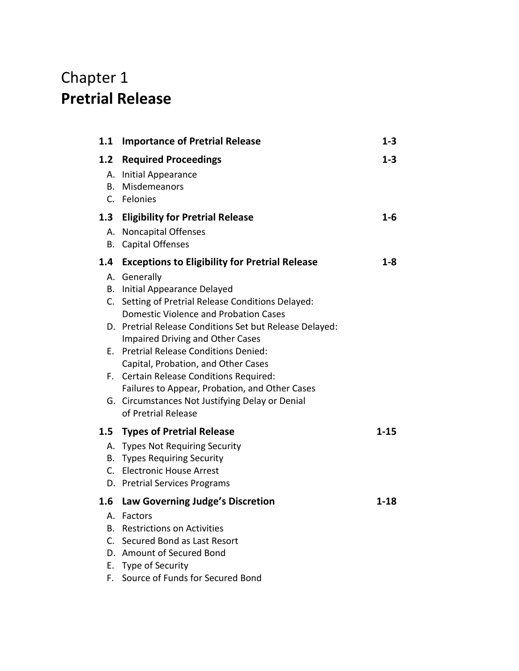## Chapter 1 **Pretrial Release**

| 1.1                | <b>Importance of Pretrial Release</b>                                             | $1 - 3$  |
|--------------------|-----------------------------------------------------------------------------------|----------|
| 1.2                | <b>Required Proceedings</b>                                                       | $1 - 3$  |
| А.                 | Initial Appearance                                                                |          |
| В.                 | Misdemeanors                                                                      |          |
|                    | C. Felonies                                                                       |          |
| 1.3                | <b>Eligibility for Pretrial Release</b>                                           | $1 - 6$  |
| А.<br>В.           | Noncapital Offenses<br><b>Capital Offenses</b>                                    |          |
|                    |                                                                                   |          |
| 1.4                | <b>Exceptions to Eligibility for Pretrial Release</b>                             | $1 - 8$  |
| В.                 | A. Generally<br>Initial Appearance Delayed                                        |          |
| $C_{\cdot}$        | Setting of Pretrial Release Conditions Delayed:                                   |          |
|                    | <b>Domestic Violence and Probation Cases</b>                                      |          |
|                    | D. Pretrial Release Conditions Set but Release Delayed:                           |          |
|                    | <b>Impaired Driving and Other Cases</b><br>E. Pretrial Release Conditions Denied: |          |
|                    | Capital, Probation, and Other Cases                                               |          |
|                    | F. Certain Release Conditions Required:                                           |          |
|                    | Failures to Appear, Probation, and Other Cases                                    |          |
|                    | G. Circumstances Not Justifying Delay or Denial<br>of Pretrial Release            |          |
|                    |                                                                                   |          |
| $1.5\,$            | <b>Types of Pretrial Release</b>                                                  | $1 - 15$ |
|                    | A. Types Not Requiring Security<br><b>B.</b> Types Requiring Security             |          |
|                    | C. Electronic House Arrest                                                        |          |
|                    | D. Pretrial Services Programs                                                     |          |
| 1.6                | Law Governing Judge's Discretion                                                  | $1 - 18$ |
| А.                 | Factors                                                                           |          |
| В.                 | <b>Restrictions on Activities</b>                                                 |          |
| $\mathsf{C}$<br>D. | Secured Bond as Last Resort<br>Amount of Secured Bond                             |          |
| Е.                 | Type of Security                                                                  |          |
| F.                 | Source of Funds for Secured Bond                                                  |          |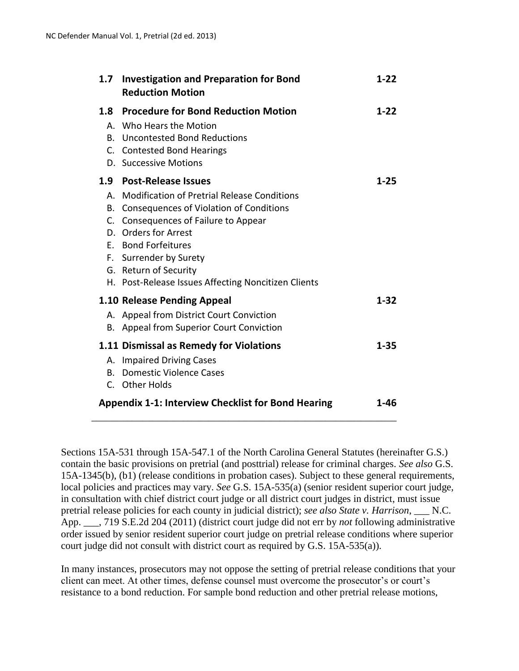| 1.7                                                               | <b>Investigation and Preparation for Bond</b><br><b>Reduction Motion</b>                                                                                                                                                                                                                                                 | $1-22$   |
|-------------------------------------------------------------------|--------------------------------------------------------------------------------------------------------------------------------------------------------------------------------------------------------------------------------------------------------------------------------------------------------------------------|----------|
|                                                                   | 1.8 Procedure for Bond Reduction Motion<br>A. Who Hears the Motion<br><b>B.</b> Uncontested Bond Reductions<br>C. Contested Bond Hearings<br>D. Successive Motions                                                                                                                                                       | $1-22$   |
|                                                                   | 1.9 Post-Release Issues<br>A. Modification of Pretrial Release Conditions<br>B. Consequences of Violation of Conditions<br>C. Consequences of Failure to Appear<br>D. Orders for Arrest<br>E. Bond Forfeitures<br>F. Surrender by Surety<br>G. Return of Security<br>H. Post-Release Issues Affecting Noncitizen Clients | $1 - 25$ |
|                                                                   | 1.10 Release Pending Appeal<br>A. Appeal from District Court Conviction<br>B. Appeal from Superior Court Conviction                                                                                                                                                                                                      | $1 - 32$ |
|                                                                   | 1.11 Dismissal as Remedy for Violations<br>A. Impaired Driving Cases<br>B. Domestic Violence Cases<br>C. Other Holds                                                                                                                                                                                                     | $1 - 35$ |
| <b>Appendix 1-1: Interview Checklist for Bond Hearing</b><br>1-46 |                                                                                                                                                                                                                                                                                                                          |          |

Sections 15A-531 through 15A-547.1 of the North Carolina General Statutes (hereinafter G.S.) contain the basic provisions on pretrial (and posttrial) release for criminal charges. *See also* G.S. 15A-1345(b), (b1) (release conditions in probation cases). Subject to these general requirements, local policies and practices may vary. *See* G.S. 15A-535(a) (senior resident superior court judge, in consultation with chief district court judge or all district court judges in district, must issue pretrial release policies for each county in judicial district); *see also State v. Harrison*, \_\_\_ N.C. App. \_\_\_, 719 S.E.2d 204 (2011) (district court judge did not err by *not* following administrative order issued by senior resident superior court judge on pretrial release conditions where superior court judge did not consult with district court as required by G.S. 15A-535(a)).

In many instances, prosecutors may not oppose the setting of pretrial release conditions that your client can meet. At other times, defense counsel must overcome the prosecutor's or court's resistance to a bond reduction. For sample bond reduction and other pretrial release motions,